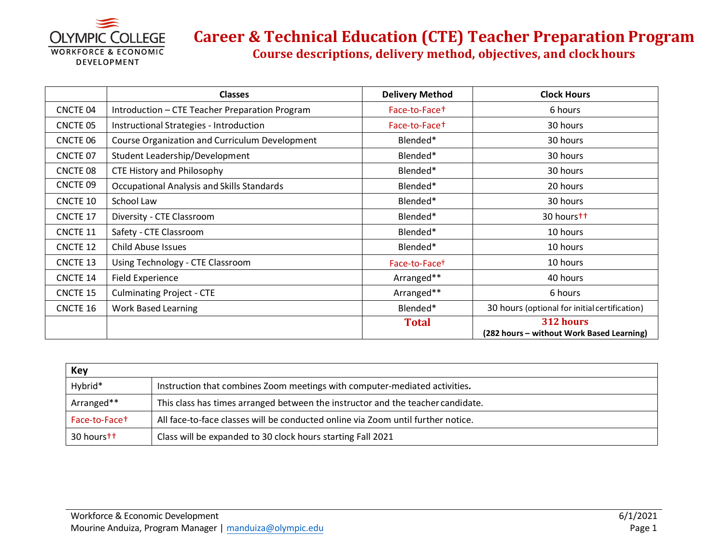

### **Career & Technical Education (CTE) Teacher Preparation Program Course descriptions, delivery method, objectives, and clockhours**

|                 | <b>Classes</b>                                 | <b>Delivery Method</b>    | <b>Clock Hours</b>                                     |
|-----------------|------------------------------------------------|---------------------------|--------------------------------------------------------|
| <b>CNCTE 04</b> | Introduction - CTE Teacher Preparation Program | Face-to-Face+             | 6 hours                                                |
| CNCTE 05        | Instructional Strategies - Introduction        | Face-to-Face+             | 30 hours                                               |
| CNCTE 06        | Course Organization and Curriculum Development | Blended*                  | 30 hours                                               |
| CNCTE 07        | Student Leadership/Development                 | Blended*                  | 30 hours                                               |
| <b>CNCTE 08</b> | CTE History and Philosophy                     | Blended*                  | 30 hours                                               |
| CNCTE 09        | Occupational Analysis and Skills Standards     | Blended*                  | 20 hours                                               |
| CNCTE 10        | School Law                                     | Blended*                  | 30 hours                                               |
| <b>CNCTE 17</b> | Diversity - CTE Classroom                      | Blended*                  | 30 hours <sup>++</sup>                                 |
| <b>CNCTE 11</b> | Safety - CTE Classroom                         | Blended*                  | 10 hours                                               |
| CNCTE 12        | Child Abuse Issues                             | Blended*                  | 10 hours                                               |
| <b>CNCTE 13</b> | Using Technology - CTE Classroom               | Face-to-Face <sup>+</sup> | 10 hours                                               |
| <b>CNCTE 14</b> | Field Experience                               | Arranged**                | 40 hours                                               |
| <b>CNCTE 15</b> | <b>Culminating Project - CTE</b>               | Arranged**                | 6 hours                                                |
| <b>CNCTE 16</b> | Work Based Learning                            | Blended*                  | 30 hours (optional for initial certification)          |
|                 |                                                | <b>Total</b>              | 312 hours<br>(282 hours - without Work Based Learning) |

| Key                       |                                                                                  |  |
|---------------------------|----------------------------------------------------------------------------------|--|
| Hybrid*                   | Instruction that combines Zoom meetings with computer-mediated activities.       |  |
| Arranged**                | This class has times arranged between the instructor and the teacher candidate.  |  |
| Face-to-Face <sup>+</sup> | All face-to-face classes will be conducted online via Zoom until further notice. |  |
| 30 hourstt                | Class will be expanded to 30 clock hours starting Fall 2021                      |  |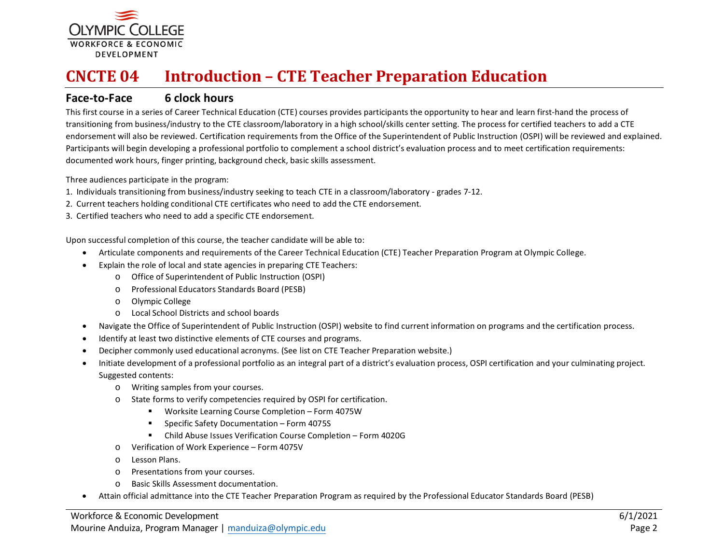

# **CNCTE 04 Introduction – CTE Teacher Preparation Education**

#### **Face-to-Face 6 clock hours**

This first course in a series of Career Technical Education (CTE) courses provides participants the opportunity to hear and learn first-hand the process of transitioning from business/industry to the CTE classroom/laboratory in a high school/skills center setting. The process for certified teachers to add a CTE endorsement will also be reviewed. Certification requirements from the Office of the Superintendent of Public Instruction (OSPI) will be reviewed and explained. Participants will begin developing a professional portfolio to complement a school district's evaluation process and to meet certification requirements: documented work hours, finger printing, background check, basic skills assessment.

Three audiences participate in the program:

- 1. Individuals transitioning from business/industry seeking to teach CTE in a classroom/laboratory grades 7-12.
- 2. Current teachers holding conditional CTE certificates who need to add the CTE endorsement.
- 3. Certified teachers who need to add a specific CTE endorsement.

- Articulate components and requirements of the Career Technical Education (CTE) Teacher Preparation Program at Olympic College.
- Explain the role of local and state agencies in preparing CTE Teachers:
	- o Office of Superintendent of Public Instruction (OSPI)
	- o Professional Educators Standards Board (PESB)
	- o Olympic College
	- o Local School Districts and school boards
- Navigate the Office of Superintendent of Public Instruction (OSPI) website to find current information on programs and the certification process.
- Identify at least two distinctive elements of CTE courses and programs.
- Decipher commonly used educational acronyms. (See list on CTE Teacher Preparation website.)
- Initiate development of a professional portfolio as an integral part of a district's evaluation process, OSPI certification and your culminating project. Suggested contents:
	- o Writing samples from your courses.
	- o State forms to verify competencies required by OSPI for certification.
		- Worksite Learning Course Completion Form 4075W
		- Specific Safety Documentation Form 4075S
		- Child Abuse Issues Verification Course Completion Form 4020G
	- o Verification of Work Experience Form 4075V
	- o Lesson Plans.
	- o Presentations from your courses.
	- o Basic Skills Assessment documentation.
- Attain official admittance into the CTE Teacher Preparation Program as required by the Professional Educator Standards Board (PESB)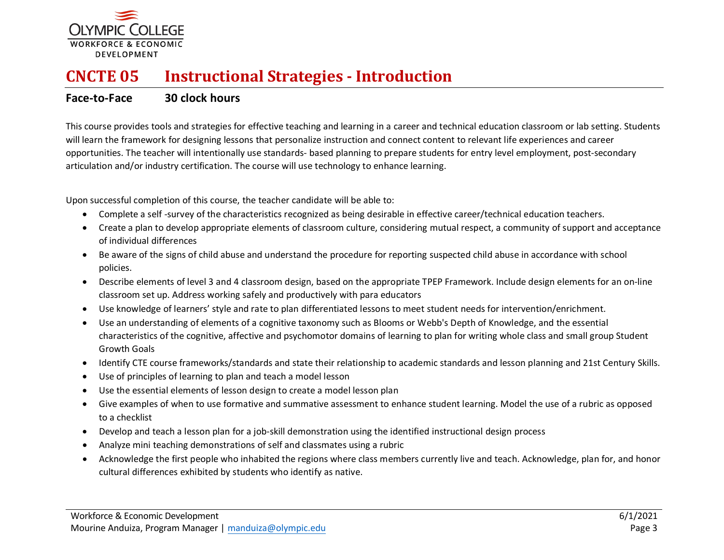

# **CNCTE 05 Instructional Strategies - Introduction**

### **Face-to-Face 30 clock hours**

This course provides tools and strategies for effective teaching and learning in a career and technical education classroom or lab setting. Students will learn the framework for designing lessons that personalize instruction and connect content to relevant life experiences and career opportunities. The teacher will intentionally use standards- based planning to prepare students for entry level employment, post-secondary articulation and/or industry certification. The course will use technology to enhance learning.

- Complete a self -survey of the characteristics recognized as being desirable in effective career/technical education teachers.
- Create a plan to develop appropriate elements of classroom culture, considering mutual respect, a community of support and acceptance of individual differences
- Be aware of the signs of child abuse and understand the procedure for reporting suspected child abuse in accordance with school policies.
- Describe elements of level 3 and 4 classroom design, based on the appropriate TPEP Framework. Include design elements for an on-line classroom set up. Address working safely and productively with para educators
- Use knowledge of learners' style and rate to plan differentiated lessons to meet student needs for intervention/enrichment.
- Use an understanding of elements of a cognitive taxonomy such as Blooms or Webb's Depth of Knowledge, and the essential characteristics of the cognitive, affective and psychomotor domains of learning to plan for writing whole class and small group Student Growth Goals
- Identify CTE course frameworks/standards and state their relationship to academic standards and lesson planning and 21st Century Skills.
- Use of principles of learning to plan and teach a model lesson
- Use the essential elements of lesson design to create a model lesson plan
- Give examples of when to use formative and summative assessment to enhance student learning. Model the use of a rubric as opposed to a checklist
- Develop and teach a lesson plan for a job-skill demonstration using the identified instructional design process
- Analyze mini teaching demonstrations of self and classmates using a rubric
- Acknowledge the first people who inhabited the regions where class members currently live and teach. Acknowledge, plan for, and honor cultural differences exhibited by students who identify as native.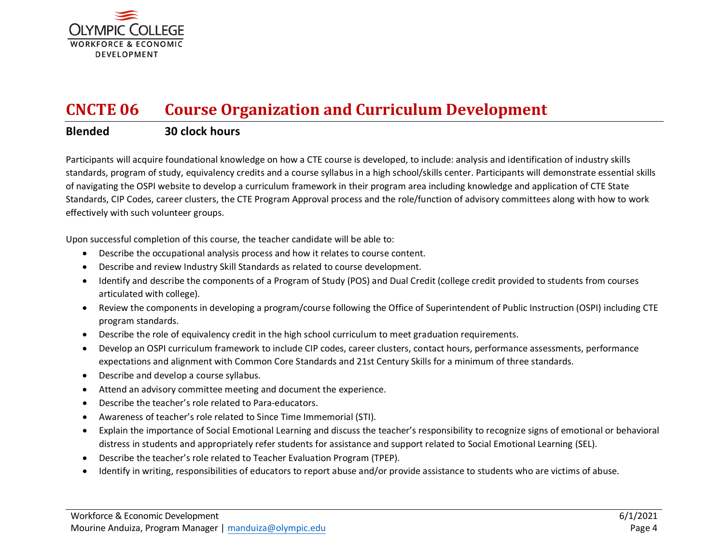

# **CNCTE 06 Course Organization and Curriculum Development**

### **Blended 30 clock hours**

Participants will acquire foundational knowledge on how a CTE course is developed, to include: analysis and identification of industry skills standards, program of study, equivalency credits and a course syllabus in a high school/skills center. Participants will demonstrate essential skills of navigating the OSPI website to develop a curriculum framework in their program area including knowledge and application of CTE State Standards, CIP Codes, career clusters, the CTE Program Approval process and the role/function of advisory committees along with how to work effectively with such volunteer groups.

- Describe the occupational analysis process and how it relates to course content.
- Describe and review Industry Skill Standards as related to course development.
- Identify and describe the components of a Program of Study (POS) and Dual Credit (college credit provided to students from courses articulated with college).
- Review the components in developing a program/course following the Office of Superintendent of Public Instruction (OSPI) including CTE program standards.
- Describe the role of equivalency credit in the high school curriculum to meet graduation requirements.
- Develop an OSPI curriculum framework to include CIP codes, career clusters, contact hours, performance assessments, performance expectations and alignment with Common Core Standards and 21st Century Skills for a minimum of three standards.
- Describe and develop a course syllabus.
- Attend an advisory committee meeting and document the experience.
- Describe the teacher's role related to Para-educators.
- Awareness of teacher's role related to Since Time Immemorial (STI).
- Explain the importance of Social Emotional Learning and discuss the teacher's responsibility to recognize signs of emotional or behavioral distress in students and appropriately refer students for assistance and support related to Social Emotional Learning (SEL).
- Describe the teacher's role related to Teacher Evaluation Program (TPEP).
- Identify in writing, responsibilities of educators to report abuse and/or provide assistance to students who are victims of abuse.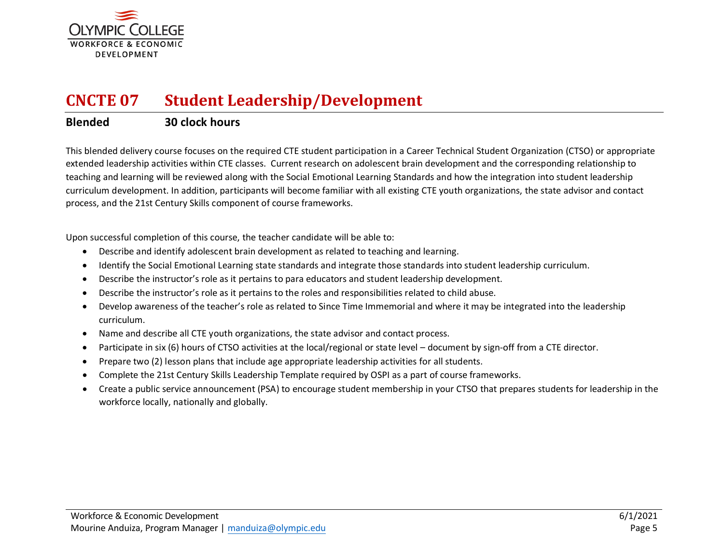

# **CNCTE 07 Student Leadership/Development**

### **Blended 30 clock hours**

This blended delivery course focuses on the required CTE student participation in a Career Technical Student Organization (CTSO) or appropriate extended leadership activities within CTE classes. Current research on adolescent brain development and the corresponding relationship to teaching and learning will be reviewed along with the Social Emotional Learning Standards and how the integration into student leadership curriculum development. In addition, participants will become familiar with all existing CTE youth organizations, the state advisor and contact process, and the 21st Century Skills component of course frameworks.

- Describe and identify adolescent brain development as related to teaching and learning.
- Identify the Social Emotional Learning state standards and integrate those standards into student leadership curriculum.
- Describe the instructor's role as it pertains to para educators and student leadership development.
- Describe the instructor's role as it pertains to the roles and responsibilities related to child abuse.
- Develop awareness of the teacher's role as related to Since Time Immemorial and where it may be integrated into the leadership curriculum.
- Name and describe all CTE youth organizations, the state advisor and contact process.
- Participate in six (6) hours of CTSO activities at the local/regional or state level document by sign-off from a CTE director.
- Prepare two (2) lesson plans that include age appropriate leadership activities for all students.
- Complete the 21st Century Skills Leadership Template required by OSPI as a part of course frameworks.
- Create a public service announcement (PSA) to encourage student membership in your CTSO that prepares students for leadership in the workforce locally, nationally and globally.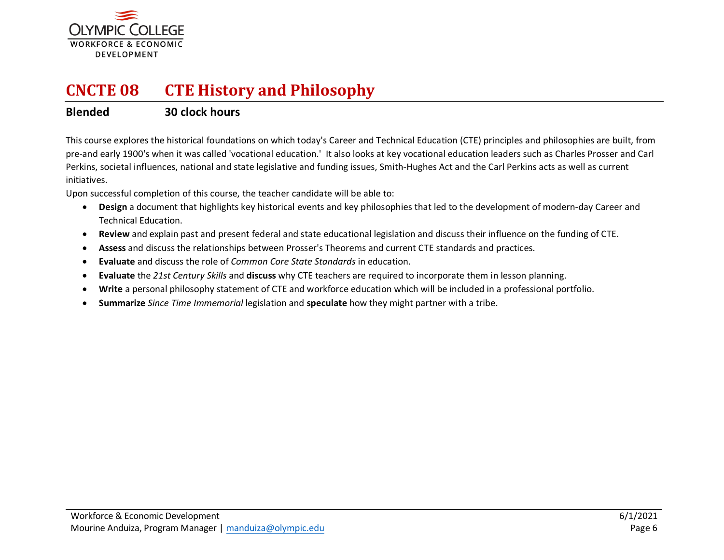

## **CNCTE 08 CTE History and Philosophy**

#### **Blended 30 clock hours**

This course explores the historical foundations on which today's Career and Technical Education (CTE) principles and philosophies are built, from pre-and early 1900's when it was called 'vocational education.' It also looks at key vocational education leaders such as Charles Prosser and Carl Perkins, societal influences, national and state legislative and funding issues, Smith-Hughes Act and the Carl Perkins acts as well as current initiatives.

- **Design** a document that highlights key historical events and key philosophies that led to the development of modern-day Career and Technical Education.
- **Review** and explain past and present federal and state educational legislation and discuss their influence on the funding of CTE.
- **Assess** and discuss the relationships between Prosser's Theorems and current CTE standards and practices.
- **Evaluate** and discuss the role of *Common Core State Standards* in education.
- **Evaluate** the *21st Century Skills* and **discuss** why CTE teachers are required to incorporate them in lesson planning.
- **Write** a personal philosophy statement of CTE and workforce education which will be included in a professional portfolio.
- **Summarize** *Since Time Immemorial* legislation and **speculate** how they might partner with a tribe.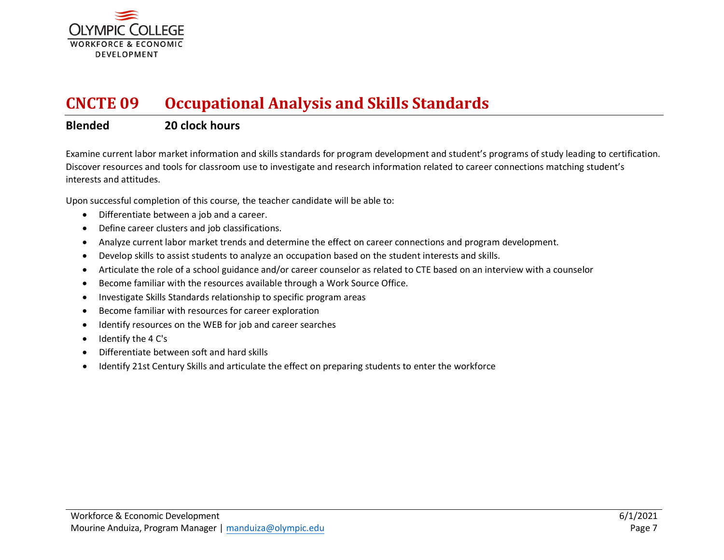

## **CNCTE 09 Occupational Analysis and Skills Standards**

### **Blended 20 clock hours**

Examine current labor market information and skills standards for program development and student's programs of study leading to certification. Discover resources and tools for classroom use to investigate and research information related to career connections matching student's interests and attitudes.

- Differentiate between a job and a career.
- Define career clusters and job classifications.
- Analyze current labor market trends and determine the effect on career connections and program development.
- Develop skills to assist students to analyze an occupation based on the student interests and skills.
- Articulate the role of a school guidance and/or career counselor as related to CTE based on an interview with a counselor
- Become familiar with the resources available through a Work Source Office.
- Investigate Skills Standards relationship to specific program areas
- Become familiar with resources for career exploration
- Identify resources on the WEB for job and career searches
- Identify the 4 C's
- Differentiate between soft and hard skills
- Identify 21st Century Skills and articulate the effect on preparing students to enter the workforce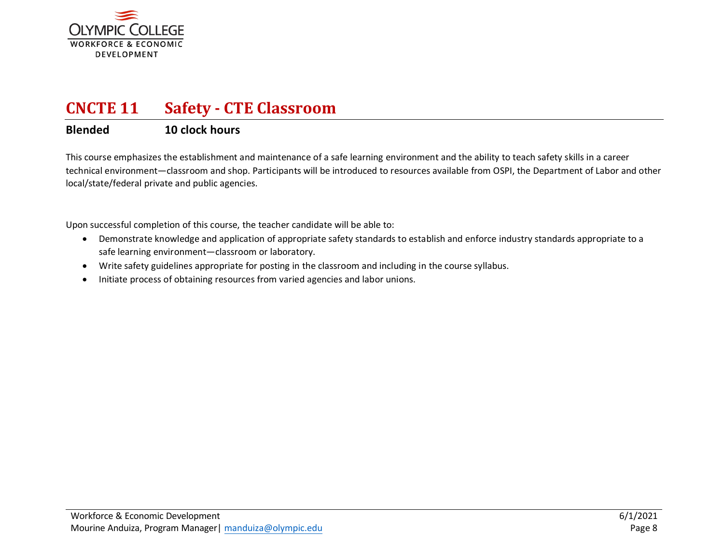

### **CNCTE 11 Safety - CTE Classroom**

### **Blended 10 clock hours**

This course emphasizes the establishment and maintenance of a safe learning environment and the ability to teach safety skills in a career technical environment—classroom and shop. Participants will be introduced to resources available from OSPI, the Department of Labor and other local/state/federal private and public agencies.

- Demonstrate knowledge and application of appropriate safety standards to establish and enforce industry standards appropriate to a safe learning environment—classroom or laboratory.
- Write safety guidelines appropriate for posting in the classroom and including in the course syllabus.
- Initiate process of obtaining resources from varied agencies and labor unions.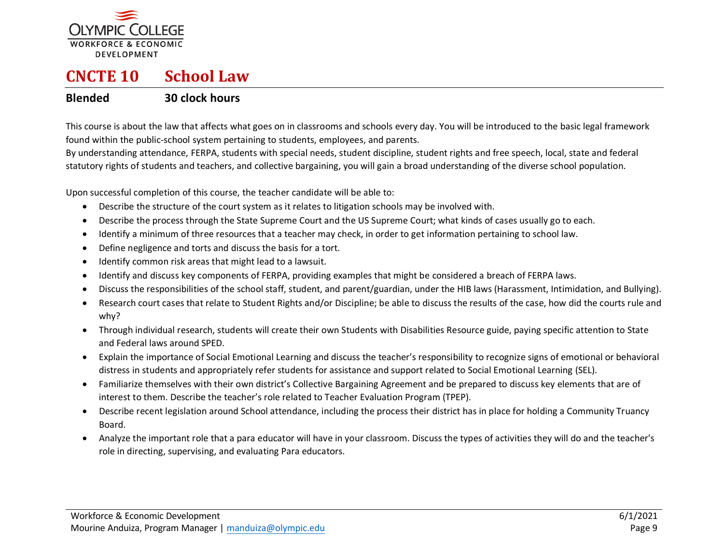

## **CNCTE 10 School Law**

### **Blended 30 clock hours**

This course is about the law that affects what goes on in classrooms and schools every day. You will be introduced to the basic legal framework found within the public-school system pertaining to students, employees, and parents.

By understanding attendance, FERPA, students with special needs, student discipline, student rights and free speech, local, state and federal statutory rights of students and teachers, and collective bargaining, you will gain a broad understanding of the diverse school population.

- Describe the structure of the court system as it relates to litigation schools may be involved with.
- Describe the process through the State Supreme Court and the US Supreme Court; what kinds of cases usually go to each.
- Identify a minimum of three resources that a teacher may check, in order to get information pertaining to school law.
- Define negligence and torts and discuss the basis for a tort.
- Identify common risk areas that might lead to a lawsuit.
- Identify and discuss key components of FERPA, providing examples that might be considered a breach of FERPA laws.
- Discuss the responsibilities of the school staff, student, and parent/guardian, under the HIB laws (Harassment, Intimidation, and Bullying).
- Research court cases that relate to Student Rights and/or Discipline; be able to discuss the results of the case, how did the courts rule and why?
- Through individual research, students will create their own Students with Disabilities Resource guide, paying specific attention to State and Federal laws around SPED.
- Explain the importance of Social Emotional Learning and discuss the teacher's responsibility to recognize signs of emotional or behavioral distress in students and appropriately refer students for assistance and support related to Social Emotional Learning (SEL).
- Familiarize themselves with their own district's Collective Bargaining Agreement and be prepared to discuss key elements that are of interest to them. Describe the teacher's role related to Teacher Evaluation Program (TPEP).
- Describe recent legislation around School attendance, including the process their district has in place for holding a Community Truancy Board.
- Analyze the important role that a para educator will have in your classroom. Discuss the types of activities they will do and the teacher's role in directing, supervising, and evaluating Para educators.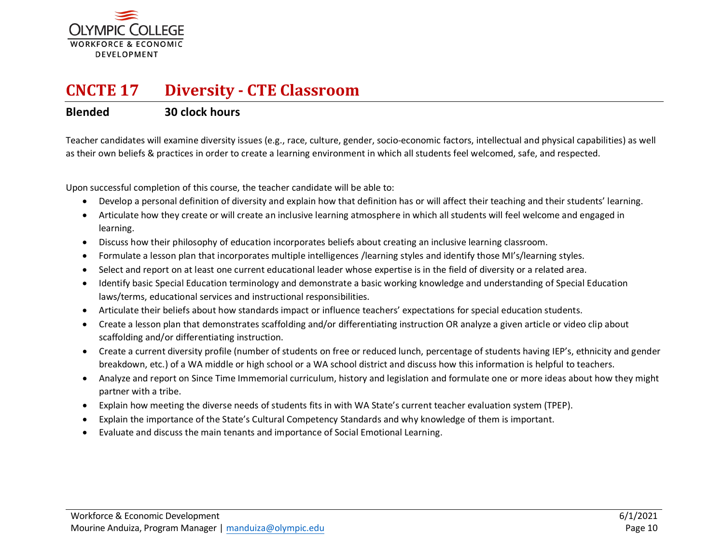

### **CNCTE 17 Diversity - CTE Classroom**

#### **Blended 30 clock hours**

Teacher candidates will examine diversity issues (e.g., race, culture, gender, socio-economic factors, intellectual and physical capabilities) as well as their own beliefs & practices in order to create a learning environment in which all students feel welcomed, safe, and respected.

- Develop a personal definition of diversity and explain how that definition has or will affect their teaching and their students' learning.
- Articulate how they create or will create an inclusive learning atmosphere in which all students will feel welcome and engaged in learning.
- Discuss how their philosophy of education incorporates beliefs about creating an inclusive learning classroom.
- Formulate a lesson plan that incorporates multiple intelligences /learning styles and identify those MI's/learning styles.
- Select and report on at least one current educational leader whose expertise is in the field of diversity or a related area.
- Identify basic Special Education terminology and demonstrate a basic working knowledge and understanding of Special Education laws/terms, educational services and instructional responsibilities.
- Articulate their beliefs about how standards impact or influence teachers' expectations for special education students.
- Create a lesson plan that demonstrates scaffolding and/or differentiating instruction OR analyze a given article or video clip about scaffolding and/or differentiating instruction.
- Create a current diversity profile (number of students on free or reduced lunch, percentage of students having IEP's, ethnicity and gender breakdown, etc.) of a WA middle or high school or a WA school district and discuss how this information is helpful to teachers.
- Analyze and report on Since Time Immemorial curriculum, history and legislation and formulate one or more ideas about how they might partner with a tribe.
- Explain how meeting the diverse needs of students fits in with WA State's current teacher evaluation system (TPEP).
- Explain the importance of the State's Cultural Competency Standards and why knowledge of them is important.
- Evaluate and discuss the main tenants and importance of Social Emotional Learning.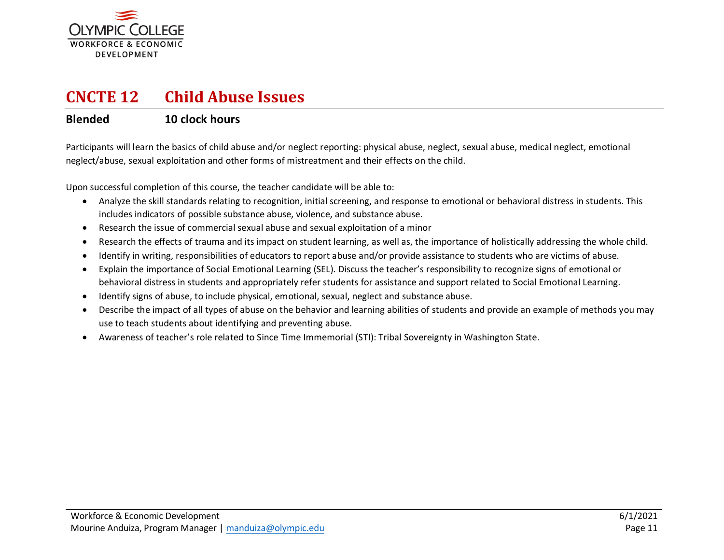

### **CNCTE 12 Child Abuse Issues**

### **Blended 10 clock hours**

Participants will learn the basics of child abuse and/or neglect reporting: physical abuse, neglect, sexual abuse, medical neglect, emotional neglect/abuse, sexual exploitation and other forms of mistreatment and their effects on the child.

- Analyze the skill standards relating to recognition, initial screening, and response to emotional or behavioral distress in students. This includes indicators of possible substance abuse, violence, and substance abuse.
- Research the issue of commercial sexual abuse and sexual exploitation of a minor
- Research the effects of trauma and its impact on student learning, as well as, the importance of holistically addressing the whole child.
- Identify in writing, responsibilities of educators to report abuse and/or provide assistance to students who are victims of abuse.
- Explain the importance of Social Emotional Learning (SEL). Discuss the teacher's responsibility to recognize signs of emotional or behavioral distress in students and appropriately refer students for assistance and support related to Social Emotional Learning.
- Identify signs of abuse, to include physical, emotional, sexual, neglect and substance abuse.
- Describe the impact of all types of abuse on the behavior and learning abilities of students and provide an example of methods you may use to teach students about identifying and preventing abuse.
- Awareness of teacher's role related to Since Time Immemorial (STI): Tribal Sovereignty in Washington State.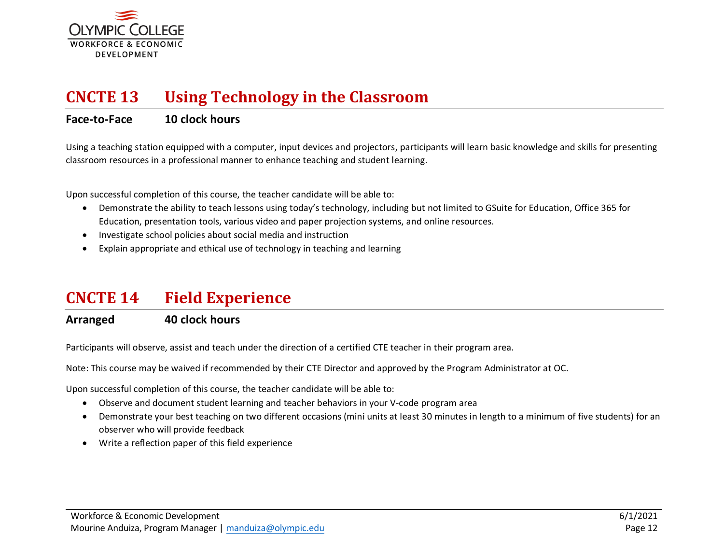

## **CNCTE 13 Using Technology in the Classroom**

### **Face-to-Face 10 clock hours**

Using a teaching station equipped with a computer, input devices and projectors, participants will learn basic knowledge and skills for presenting classroom resources in a professional manner to enhance teaching and student learning.

Upon successful completion of this course, the teacher candidate will be able to:

- Demonstrate the ability to teach lessons using today's technology, including but not limited to GSuite for Education, Office 365 for Education, presentation tools, various video and paper projection systems, and online resources.
- Investigate school policies about social media and instruction
- Explain appropriate and ethical use of technology in teaching and learning

### **CNCTE 14 Field Experience**

### **Arranged 40 clock hours**

Participants will observe, assist and teach under the direction of a certified CTE teacher in their program area.

Note: This course may be waived if recommended by their CTE Director and approved by the Program Administrator at OC.

- Observe and document student learning and teacher behaviors in your V-code program area
- Demonstrate your best teaching on two different occasions (mini units at least 30 minutes in length to a minimum of five students) for an observer who will provide feedback
- Write a reflection paper of this field experience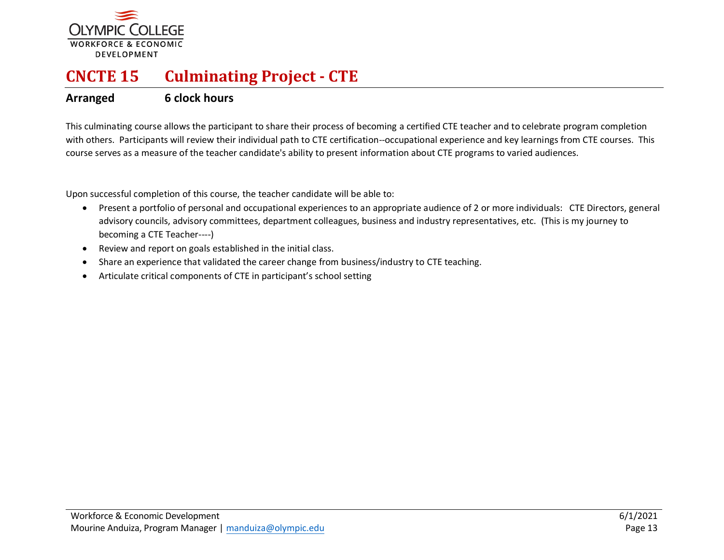

# **CNCTE 15 Culminating Project - CTE**

### **Arranged 6 clock hours**

This culminating course allows the participant to share their process of becoming a certified CTE teacher and to celebrate program completion with others. Participants will review their individual path to CTE certification--occupational experience and key learnings from CTE courses. This course serves as a measure of the teacher candidate's ability to present information about CTE programs to varied audiences.

- Present a portfolio of personal and occupational experiences to an appropriate audience of 2 or more individuals: CTE Directors, general advisory councils, advisory committees, department colleagues, business and industry representatives, etc. (This is my journey to becoming a CTE Teacher----)
- Review and report on goals established in the initial class.
- Share an experience that validated the career change from business/industry to CTE teaching.
- Articulate critical components of CTE in participant's school setting